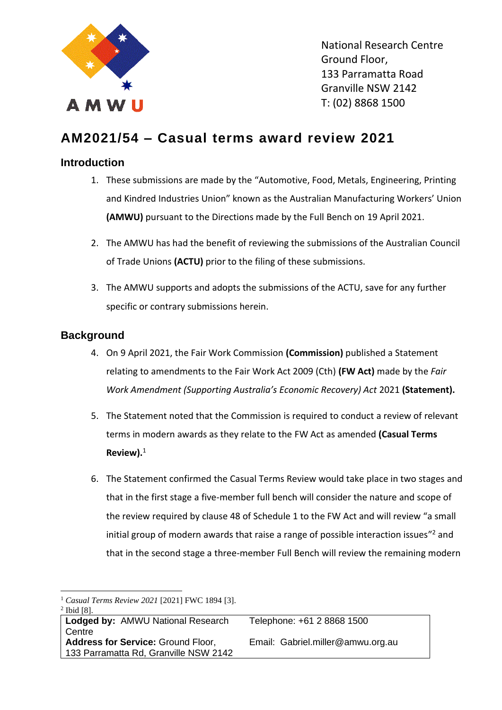

National Research Centre Ground Floor, 133 Parramatta Road Granville NSW 2142 T: (02) 8868 1500

# **AM2021/54 – Casual terms award review 2021**

# **Introduction**

- 1. These submissions are made by the "Automotive, Food, Metals, Engineering, Printing and Kindred Industries Union" known as the Australian Manufacturing Workers' Union **(AMWU)** pursuant to the Directions made by the Full Bench on 19 April 2021.
- 2. The AMWU has had the benefit of reviewing the submissions of the Australian Council of Trade Unions **(ACTU)** prior to the filing of these submissions.
- 3. The AMWU supports and adopts the submissions of the ACTU, save for any further specific or contrary submissions herein.

# **Background**

- 4. On 9 April 2021, the Fair Work Commission **(Commission)** published a Statement relating to amendments to the Fair Work Act 2009 (Cth) **(FW Act)** made by the *Fair Work Amendment (Supporting Australia's Economic Recovery) Act* 2021 **(Statement).**
- 5. The Statement noted that the Commission is required to conduct a review of relevant terms in modern awards as they relate to the FW Act as amended **(Casual Terms Review).**<sup>1</sup>
- 6. The Statement confirmed the Casual Terms Review would take place in two stages and that in the first stage a five-member full bench will consider the nature and scope of the review required by clause 48 of Schedule 1 to the FW Act and will review "a small initial group of modern awards that raise a range of possible interaction issues"<sup>2</sup> and that in the second stage a three-member Full Bench will review the remaining modern

<sup>1</sup> *Casual Terms Review 2021* [2021] FWC 1894 [3].  $<sup>2</sup>$  Ibid [8].</sup>

| 1014101                               |                                   |
|---------------------------------------|-----------------------------------|
| Lodged by: AMWU National Research     | Telephone: +61 2 8868 1500        |
| l Centre                              |                                   |
| Address for Service: Ground Floor,    | Email: Gabriel.miller@amwu.org.au |
| 133 Parramatta Rd, Granville NSW 2142 |                                   |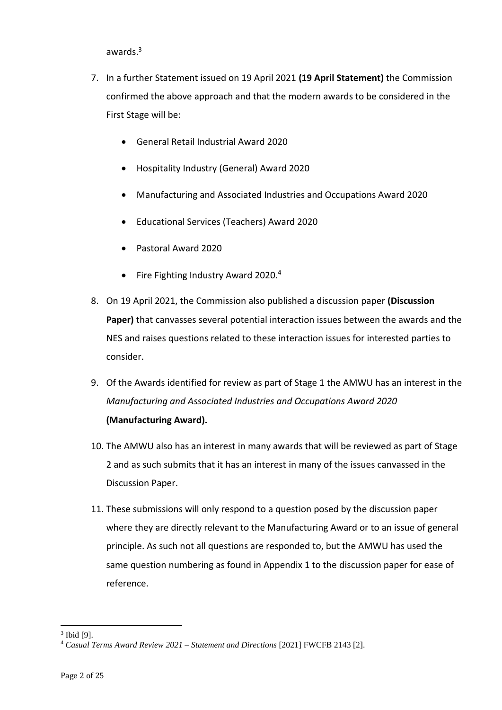awards.<sup>3</sup>

- 7. In a further Statement issued on 19 April 2021 **(19 April Statement)** the Commission confirmed the above approach and that the modern awards to be considered in the First Stage will be:
	- General Retail Industrial Award 2020
	- Hospitality Industry (General) Award 2020
	- Manufacturing and Associated Industries and Occupations Award 2020
	- Educational Services (Teachers) Award 2020
	- Pastoral Award 2020
	- Fire Fighting Industry Award 2020.<sup>4</sup>
- 8. On 19 April 2021, the Commission also published a discussion paper **(Discussion Paper)** that canvasses several potential interaction issues between the awards and the NES and raises questions related to these interaction issues for interested parties to consider.
- 9. Of the Awards identified for review as part of Stage 1 the AMWU has an interest in the *Manufacturing and Associated Industries and Occupations Award 2020* **(Manufacturing Award).**
- 10. The AMWU also has an interest in many awards that will be reviewed as part of Stage 2 and as such submits that it has an interest in many of the issues canvassed in the Discussion Paper.
- 11. These submissions will only respond to a question posed by the discussion paper where they are directly relevant to the Manufacturing Award or to an issue of general principle. As such not all questions are responded to, but the AMWU has used the same question numbering as found in Appendix 1 to the discussion paper for ease of reference.

 $3$  Ibid [9].

<sup>4</sup> *Casual Terms Award Review 2021 – Statement and Directions* [2021] FWCFB 2143 [2].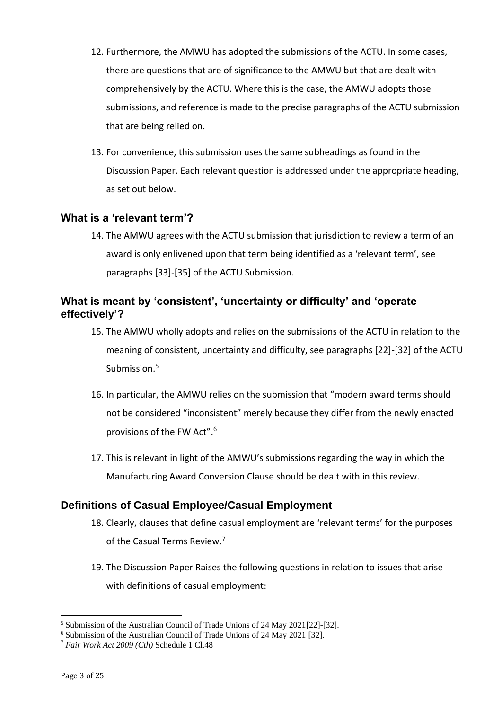- 12. Furthermore, the AMWU has adopted the submissions of the ACTU. In some cases, there are questions that are of significance to the AMWU but that are dealt with comprehensively by the ACTU. Where this is the case, the AMWU adopts those submissions, and reference is made to the precise paragraphs of the ACTU submission that are being relied on.
- 13. For convenience, this submission uses the same subheadings as found in the Discussion Paper. Each relevant question is addressed under the appropriate heading, as set out below.

### **What is a 'relevant term'?**

14. The AMWU agrees with the ACTU submission that jurisdiction to review a term of an award is only enlivened upon that term being identified as a 'relevant term', see paragraphs [33]-[35] of the ACTU Submission.

# **What is meant by 'consistent', 'uncertainty or difficulty' and 'operate effectively'?**

- 15. The AMWU wholly adopts and relies on the submissions of the ACTU in relation to the meaning of consistent, uncertainty and difficulty, see paragraphs [22]-[32] of the ACTU Submission.<sup>5</sup>
- 16. In particular, the AMWU relies on the submission that "modern award terms should not be considered "inconsistent" merely because they differ from the newly enacted provisions of the FW Act".<sup>6</sup>
- 17. This is relevant in light of the AMWU's submissions regarding the way in which the Manufacturing Award Conversion Clause should be dealt with in this review.

# **Definitions of Casual Employee/Casual Employment**

- 18. Clearly, clauses that define casual employment are 'relevant terms' for the purposes of the Casual Terms Review.<sup>7</sup>
- 19. The Discussion Paper Raises the following questions in relation to issues that arise with definitions of casual employment:

<sup>5</sup> Submission of the Australian Council of Trade Unions of 24 May 2021[22]-[32].

<sup>6</sup> Submission of the Australian Council of Trade Unions of 24 May 2021 [32].

<sup>7</sup> *Fair Work Act 2009 (Cth)* Schedule 1 Cl.48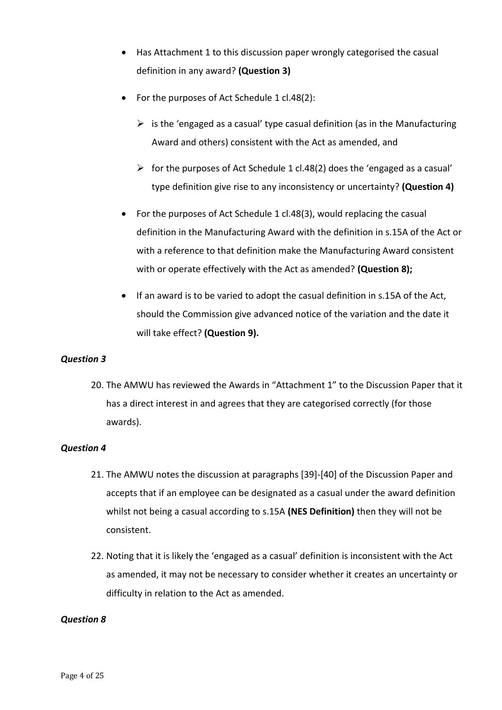- Has Attachment 1 to this discussion paper wrongly categorised the casual definition in any award? **(Question 3)**
- For the purposes of Act Schedule 1 cl.48(2):
	- $\triangleright$  is the 'engaged as a casual' type casual definition (as in the Manufacturing Award and others) consistent with the Act as amended, and
	- $\triangleright$  for the purposes of Act Schedule 1 cl.48(2) does the 'engaged as a casual' type definition give rise to any inconsistency or uncertainty? **(Question 4)**
- For the purposes of Act Schedule 1 cl.48(3), would replacing the casual definition in the Manufacturing Award with the definition in s.15A of the Act or with a reference to that definition make the Manufacturing Award consistent with or operate effectively with the Act as amended? **(Question 8);**
- If an award is to be varied to adopt the casual definition in s.15A of the Act, should the Commission give advanced notice of the variation and the date it will take effect? **(Question 9).**

#### *Question 3*

20. The AMWU has reviewed the Awards in "Attachment 1" to the Discussion Paper that it has a direct interest in and agrees that they are categorised correctly (for those awards).

#### *Question 4*

- 21. The AMWU notes the discussion at paragraphs [39]-[40] of the Discussion Paper and accepts that if an employee can be designated as a casual under the award definition whilst not being a casual according to s.15A **(NES Definition)** then they will not be consistent.
- 22. Noting that it is likely the 'engaged as a casual' definition is inconsistent with the Act as amended, it may not be necessary to consider whether it creates an uncertainty or difficulty in relation to the Act as amended.

#### *Question 8*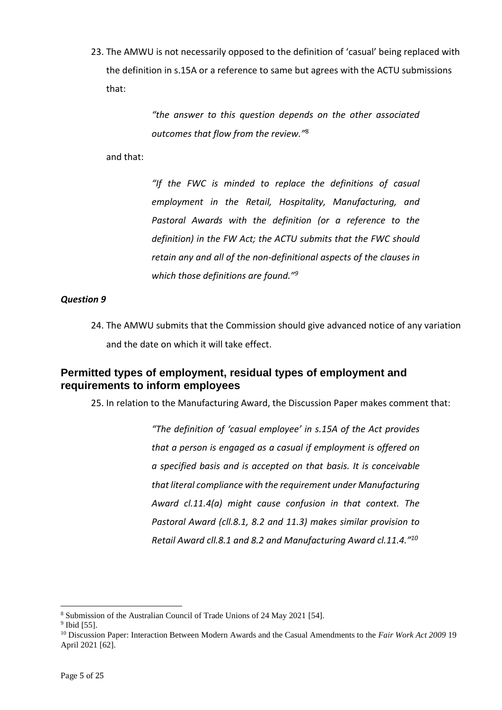23. The AMWU is not necessarily opposed to the definition of 'casual' being replaced with the definition in s.15A or a reference to same but agrees with the ACTU submissions that:

> *"the answer to this question depends on the other associated outcomes that flow from the review."*<sup>8</sup>

and that:

*"If the FWC is minded to replace the definitions of casual employment in the Retail, Hospitality, Manufacturing, and Pastoral Awards with the definition (or a reference to the definition) in the FW Act; the ACTU submits that the FWC should retain any and all of the non-definitional aspects of the clauses in which those definitions are found."<sup>9</sup>*

#### *Question 9*

24. The AMWU submits that the Commission should give advanced notice of any variation and the date on which it will take effect.

# **Permitted types of employment, residual types of employment and requirements to inform employees**

25. In relation to the Manufacturing Award, the Discussion Paper makes comment that:

*"The definition of 'casual employee' in s.15A of the Act provides that a person is engaged as a casual if employment is offered on a specified basis and is accepted on that basis. It is conceivable that literal compliance with the requirement under Manufacturing Award cl.11.4(a) might cause confusion in that context. The Pastoral Award (cll.8.1, 8.2 and 11.3) makes similar provision to Retail Award cll.8.1 and 8.2 and Manufacturing Award cl.11.4." 10*

<sup>8</sup> Submission of the Australian Council of Trade Unions of 24 May 2021 [54].

<sup>&</sup>lt;sup>9</sup> Ibid [55].

<sup>10</sup> Discussion Paper: Interaction Between Modern Awards and the Casual Amendments to the *Fair Work Act 2009* 19 April 2021 [62].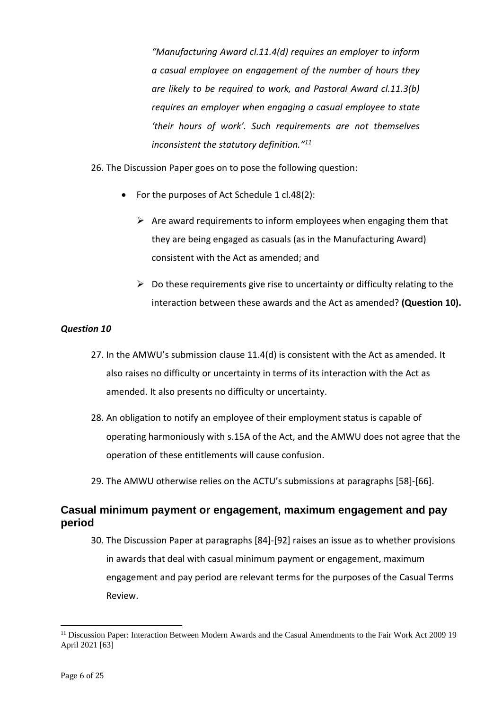*"Manufacturing Award cl.11.4(d) requires an employer to inform a casual employee on engagement of the number of hours they are likely to be required to work, and Pastoral Award cl.11.3(b) requires an employer when engaging a casual employee to state 'their hours of work'. Such requirements are not themselves inconsistent the statutory definition." 11*

26. The Discussion Paper goes on to pose the following question:

- For the purposes of Act Schedule 1 cl.48(2):
	- $\triangleright$  Are award requirements to inform employees when engaging them that they are being engaged as casuals (as in the Manufacturing Award) consistent with the Act as amended; and
	- $\triangleright$  Do these requirements give rise to uncertainty or difficulty relating to the interaction between these awards and the Act as amended? **(Question 10).**

#### *Question 10*

- 27. In the AMWU's submission clause 11.4(d) is consistent with the Act as amended. It also raises no difficulty or uncertainty in terms of its interaction with the Act as amended. It also presents no difficulty or uncertainty.
- 28. An obligation to notify an employee of their employment status is capable of operating harmoniously with s.15A of the Act, and the AMWU does not agree that the operation of these entitlements will cause confusion.
- 29. The AMWU otherwise relies on the ACTU's submissions at paragraphs [58]-[66].

# **Casual minimum payment or engagement, maximum engagement and pay period**

30. The Discussion Paper at paragraphs [84]-[92] raises an issue as to whether provisions in awards that deal with casual minimum payment or engagement, maximum engagement and pay period are relevant terms for the purposes of the Casual Terms Review.

<sup>&</sup>lt;sup>11</sup> Discussion Paper: Interaction Between Modern Awards and the Casual Amendments to the Fair Work Act 2009 19 April 2021 [63]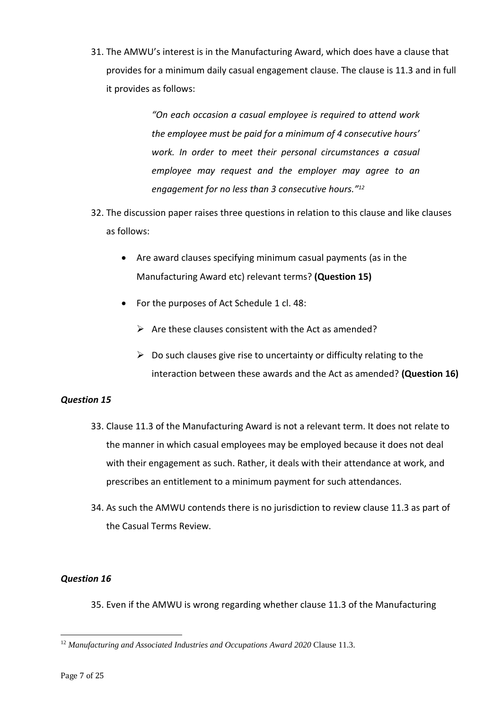31. The AMWU's interest is in the Manufacturing Award, which does have a clause that provides for a minimum daily casual engagement clause. The clause is 11.3 and in full it provides as follows:

> *"On each occasion a casual employee is required to attend work the employee must be paid for a minimum of 4 consecutive hours' work. In order to meet their personal circumstances a casual employee may request and the employer may agree to an engagement for no less than 3 consecutive hours." 12*

- 32. The discussion paper raises three questions in relation to this clause and like clauses as follows:
	- Are award clauses specifying minimum casual payments (as in the Manufacturing Award etc) relevant terms? **(Question 15)**
	- For the purposes of Act Schedule 1 cl. 48:
		- $\triangleright$  Are these clauses consistent with the Act as amended?
		- $\triangleright$  Do such clauses give rise to uncertainty or difficulty relating to the interaction between these awards and the Act as amended? **(Question 16)**

#### *Question 15*

- 33. Clause 11.3 of the Manufacturing Award is not a relevant term. It does not relate to the manner in which casual employees may be employed because it does not deal with their engagement as such. Rather, it deals with their attendance at work, and prescribes an entitlement to a minimum payment for such attendances.
- 34. As such the AMWU contends there is no jurisdiction to review clause 11.3 as part of the Casual Terms Review.

#### *Question 16*

35. Even if the AMWU is wrong regarding whether clause 11.3 of the Manufacturing

<sup>&</sup>lt;sup>12</sup> Manufacturing and Associated Industries and Occupations Award 2020 Clause 11.3.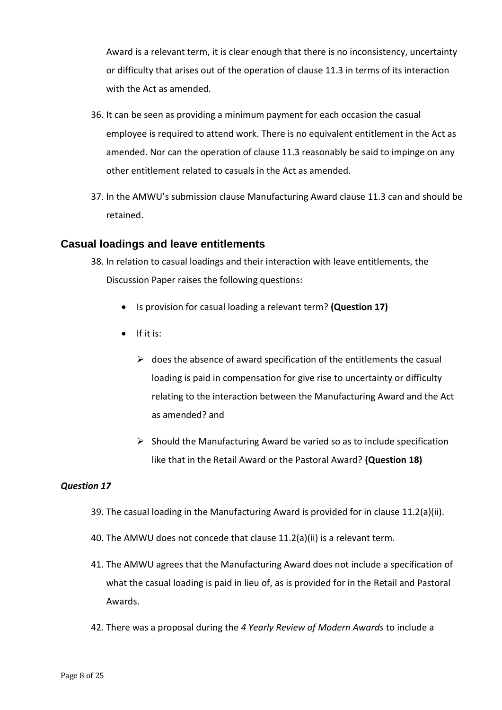Award is a relevant term, it is clear enough that there is no inconsistency, uncertainty or difficulty that arises out of the operation of clause 11.3 in terms of its interaction with the Act as amended.

- 36. It can be seen as providing a minimum payment for each occasion the casual employee is required to attend work. There is no equivalent entitlement in the Act as amended. Nor can the operation of clause 11.3 reasonably be said to impinge on any other entitlement related to casuals in the Act as amended.
- 37. In the AMWU's submission clause Manufacturing Award clause 11.3 can and should be retained.

### **Casual loadings and leave entitlements**

- 38. In relation to casual loadings and their interaction with leave entitlements, the Discussion Paper raises the following questions:
	- Is provision for casual loading a relevant term? **(Question 17)**
	- If it is:
		- $\triangleright$  does the absence of award specification of the entitlements the casual loading is paid in compensation for give rise to uncertainty or difficulty relating to the interaction between the Manufacturing Award and the Act as amended? and
		- $\triangleright$  Should the Manufacturing Award be varied so as to include specification like that in the Retail Award or the Pastoral Award? **(Question 18)**

#### *Question 17*

- 39. The casual loading in the Manufacturing Award is provided for in clause 11.2(a)(ii).
- 40. The AMWU does not concede that clause 11.2(a)(ii) is a relevant term.
- 41. The AMWU agrees that the Manufacturing Award does not include a specification of what the casual loading is paid in lieu of, as is provided for in the Retail and Pastoral Awards.
- 42. There was a proposal during the *4 Yearly Review of Modern Awards* to include a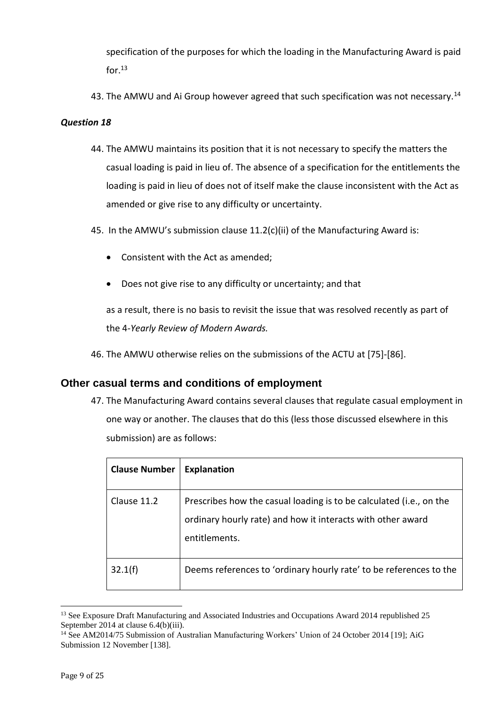specification of the purposes for which the loading in the Manufacturing Award is paid for $^{13}$ 

43. The AMWU and Ai Group however agreed that such specification was not necessary.<sup>14</sup>

#### *Question 18*

- 44. The AMWU maintains its position that it is not necessary to specify the matters the casual loading is paid in lieu of. The absence of a specification for the entitlements the loading is paid in lieu of does not of itself make the clause inconsistent with the Act as amended or give rise to any difficulty or uncertainty.
- 45. In the AMWU's submission clause 11.2(c)(ii) of the Manufacturing Award is:
	- Consistent with the Act as amended;
	- Does not give rise to any difficulty or uncertainty; and that

as a result, there is no basis to revisit the issue that was resolved recently as part of the 4*-Yearly Review of Modern Awards.* 

46. The AMWU otherwise relies on the submissions of the ACTU at [75]-[86].

#### **Other casual terms and conditions of employment**

47. The Manufacturing Award contains several clauses that regulate casual employment in one way or another. The clauses that do this (less those discussed elsewhere in this submission) are as follows:

| <b>Clause Number</b> | <b>Explanation</b>                                                                                                                                  |
|----------------------|-----------------------------------------------------------------------------------------------------------------------------------------------------|
| Clause 11.2          | Prescribes how the casual loading is to be calculated (i.e., on the<br>ordinary hourly rate) and how it interacts with other award<br>entitlements. |
| 32.1(f)              | Deems references to 'ordinary hourly rate' to be references to the                                                                                  |

<sup>&</sup>lt;sup>13</sup> See Exposure Draft Manufacturing and Associated Industries and Occupations Award 2014 republished 25 September 2014 at clause 6.4(b)(iii).

<sup>&</sup>lt;sup>14</sup> See AM2014/75 Submission of Australian Manufacturing Workers' Union of 24 October 2014 [19]; AiG Submission 12 November [138].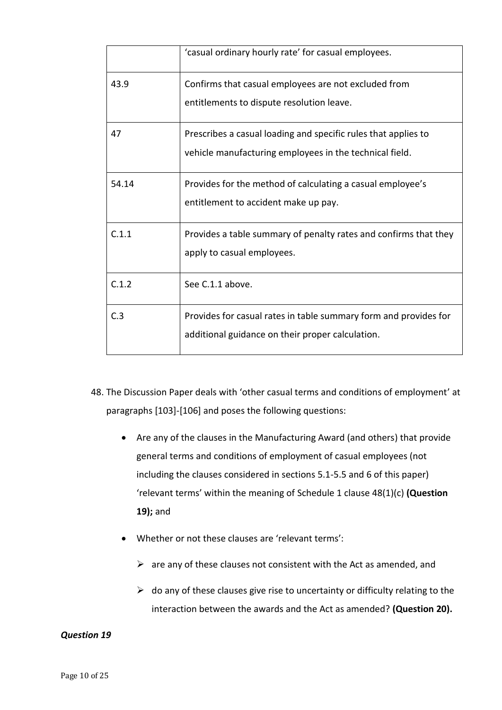|       | 'casual ordinary hourly rate' for casual employees.              |
|-------|------------------------------------------------------------------|
| 43.9  | Confirms that casual employees are not excluded from             |
|       | entitlements to dispute resolution leave.                        |
| 47    | Prescribes a casual loading and specific rules that applies to   |
|       | vehicle manufacturing employees in the technical field.          |
| 54.14 | Provides for the method of calculating a casual employee's       |
|       | entitlement to accident make up pay.                             |
| C.1.1 | Provides a table summary of penalty rates and confirms that they |
|       | apply to casual employees.                                       |
| C.1.2 | See C.1.1 above.                                                 |
| C.3   | Provides for casual rates in table summary form and provides for |
|       | additional guidance on their proper calculation.                 |
|       |                                                                  |

- 48. The Discussion Paper deals with 'other casual terms and conditions of employment' at paragraphs [103]-[106] and poses the following questions:
	- Are any of the clauses in the Manufacturing Award (and others) that provide general terms and conditions of employment of casual employees (not including the clauses considered in sections 5.1-5.5 and 6 of this paper) 'relevant terms' within the meaning of Schedule 1 clause 48(1)(c) **(Question 19);** and
	- Whether or not these clauses are 'relevant terms':
		- $\triangleright$  are any of these clauses not consistent with the Act as amended, and
		- $\triangleright$  do any of these clauses give rise to uncertainty or difficulty relating to the interaction between the awards and the Act as amended? **(Question 20).**

#### *Question 19*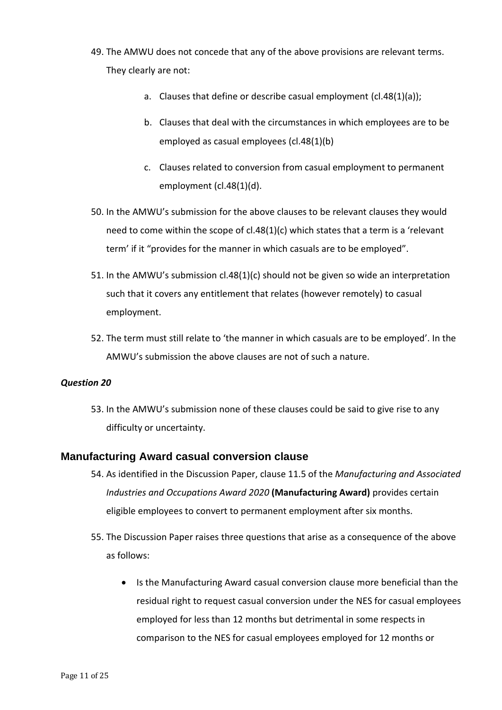- 49. The AMWU does not concede that any of the above provisions are relevant terms. They clearly are not:
	- a. Clauses that define or describe casual employment (cl.48(1)(a));
	- b. Clauses that deal with the circumstances in which employees are to be employed as casual employees (cl.48(1)(b)
	- c. Clauses related to conversion from casual employment to permanent employment (cl.48(1)(d).
- 50. In the AMWU's submission for the above clauses to be relevant clauses they would need to come within the scope of cl.48(1)(c) which states that a term is a 'relevant term' if it "provides for the manner in which casuals are to be employed".
- 51. In the AMWU's submission cl.48(1)(c) should not be given so wide an interpretation such that it covers any entitlement that relates (however remotely) to casual employment.
- 52. The term must still relate to 'the manner in which casuals are to be employed'. In the AMWU's submission the above clauses are not of such a nature.

#### *Question 20*

53. In the AMWU's submission none of these clauses could be said to give rise to any difficulty or uncertainty.

#### **Manufacturing Award casual conversion clause**

- 54. As identified in the Discussion Paper, clause 11.5 of the *Manufacturing and Associated Industries and Occupations Award 2020* **(Manufacturing Award)** provides certain eligible employees to convert to permanent employment after six months.
- 55. The Discussion Paper raises three questions that arise as a consequence of the above as follows:
	- Is the Manufacturing Award casual conversion clause more beneficial than the residual right to request casual conversion under the NES for casual employees employed for less than 12 months but detrimental in some respects in comparison to the NES for casual employees employed for 12 months or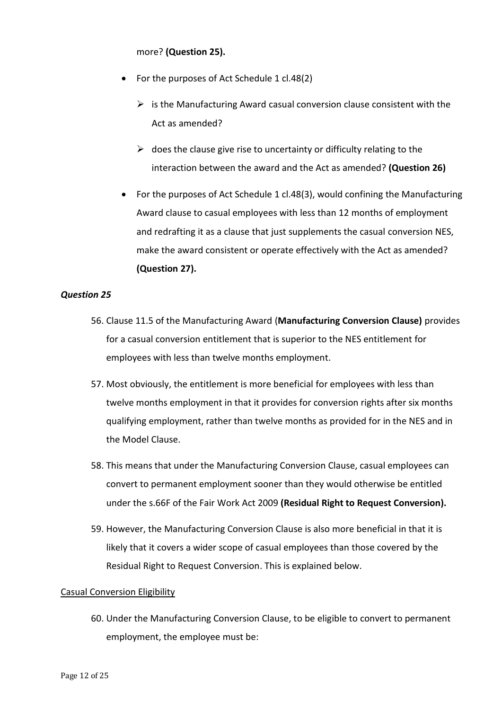more? **(Question 25).**

- For the purposes of Act Schedule 1 cl.48(2)
	- $\triangleright$  is the Manufacturing Award casual conversion clause consistent with the Act as amended?
	- $\triangleright$  does the clause give rise to uncertainty or difficulty relating to the interaction between the award and the Act as amended? **(Question 26)**
- For the purposes of Act Schedule 1 cl.48(3), would confining the Manufacturing Award clause to casual employees with less than 12 months of employment and redrafting it as a clause that just supplements the casual conversion NES, make the award consistent or operate effectively with the Act as amended? **(Question 27).**

#### *Question 25*

- 56. Clause 11.5 of the Manufacturing Award (**Manufacturing Conversion Clause)** provides for a casual conversion entitlement that is superior to the NES entitlement for employees with less than twelve months employment.
- 57. Most obviously, the entitlement is more beneficial for employees with less than twelve months employment in that it provides for conversion rights after six months qualifying employment, rather than twelve months as provided for in the NES and in the Model Clause.
- 58. This means that under the Manufacturing Conversion Clause, casual employees can convert to permanent employment sooner than they would otherwise be entitled under the s.66F of the Fair Work Act 2009 **(Residual Right to Request Conversion).**
- 59. However, the Manufacturing Conversion Clause is also more beneficial in that it is likely that it covers a wider scope of casual employees than those covered by the Residual Right to Request Conversion. This is explained below.

#### Casual Conversion Eligibility

60. Under the Manufacturing Conversion Clause, to be eligible to convert to permanent employment, the employee must be: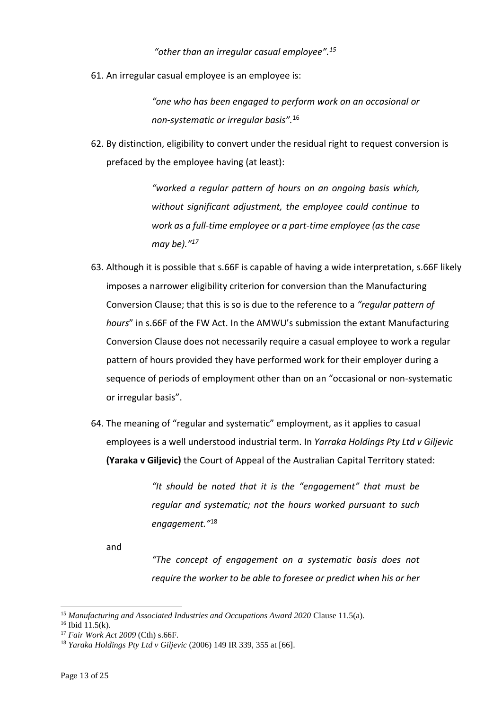*"other than an irregular casual employee".<sup>15</sup>*

61. An irregular casual employee is an employee is:

*"one who has been engaged to perform work on an occasional or non-systematic or irregular basis".*<sup>16</sup>

62. By distinction, eligibility to convert under the residual right to request conversion is prefaced by the employee having (at least):

> *"worked a regular pattern of hours on an ongoing basis which, without significant adjustment, the employee could continue to work as a full-time employee or a part-time employee (as the case may be)." 17*

- 63. Although it is possible that s.66F is capable of having a wide interpretation, s.66F likely imposes a narrower eligibility criterion for conversion than the Manufacturing Conversion Clause; that this is so is due to the reference to a *"regular pattern of hours*" in s.66F of the FW Act. In the AMWU's submission the extant Manufacturing Conversion Clause does not necessarily require a casual employee to work a regular pattern of hours provided they have performed work for their employer during a sequence of periods of employment other than on an "occasional or non-systematic or irregular basis".
- 64. The meaning of "regular and systematic" employment, as it applies to casual employees is a well understood industrial term. In *Yarraka Holdings Pty Ltd v Giljevic* **(Yaraka v Giljevic)** the Court of Appeal of the Australian Capital Territory stated:

*"It should be noted that it is the "engagement" that must be regular and systematic; not the hours worked pursuant to such engagement."*<sup>18</sup>

and

*"The concept of engagement on a systematic basis does not require the worker to be able to foresee or predict when his or her* 

<sup>15</sup> *Manufacturing and Associated Industries and Occupations Award 2020* Clause 11.5(a).

 $16$  Ibid  $11.5(k)$ .

<sup>17</sup> *Fair Work Act 2009* (Cth) s.66F.

<sup>18</sup> *Yaraka Holdings Pty Ltd v Giljevic* (2006) 149 IR 339, 355 at [66].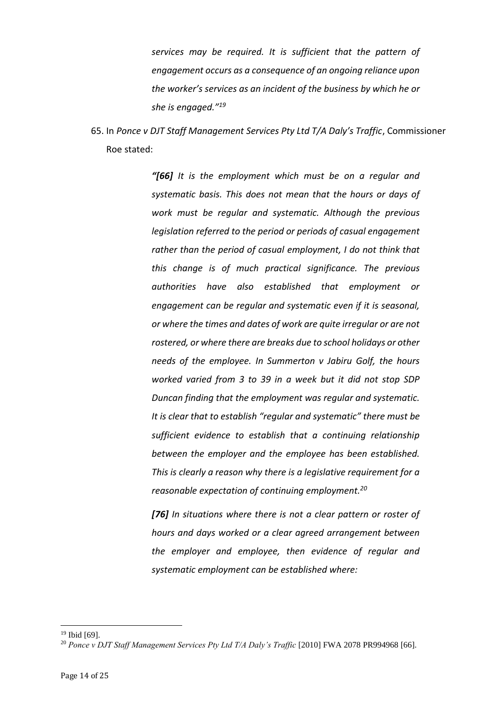*services may be required. It is sufficient that the pattern of engagement occurs as a consequence of an ongoing reliance upon the worker's services as an incident of the business by which he or she is engaged."<sup>19</sup>*

65. In *Ponce v DJT Staff Management Services Pty Ltd T/A Daly's Traffic*, Commissioner Roe stated:

> *"[66] It is the employment which must be on a regular and systematic basis. This does not mean that the hours or days of work must be regular and systematic. Although the previous legislation referred to the period or periods of casual engagement rather than the period of casual employment, I do not think that this change is of much practical significance. The previous authorities have also established that employment or engagement can be regular and systematic even if it is seasonal, or where the times and dates of work are quite irregular or are not rostered, or where there are breaks due to school holidays or other needs of the employee. In Summerton v Jabiru Golf, the hours worked varied from 3 to 39 in a week but it did not stop SDP Duncan finding that the employment was regular and systematic. It is clear that to establish "regular and systematic" there must be sufficient evidence to establish that a continuing relationship between the employer and the employee has been established. This is clearly a reason why there is a legislative requirement for a reasonable expectation of continuing employment.<sup>20</sup>*

> *[76] In situations where there is not a clear pattern or roster of hours and days worked or a clear agreed arrangement between the employer and employee, then evidence of regular and systematic employment can be established where:*

<sup>19</sup> Ibid [69].

<sup>&</sup>lt;sup>20</sup> Ponce v DJT Staff Management Services Pty Ltd T/A Daly's Traffic [2010] FWA 2078 PR994968 [66].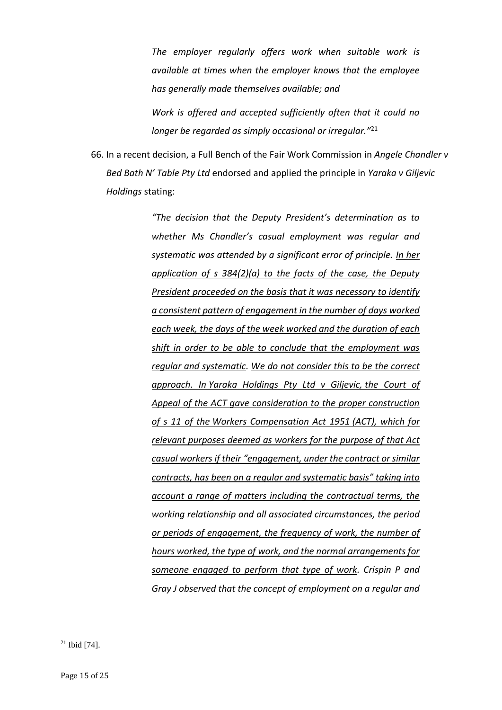*The employer regularly offers work when suitable work is available at times when the employer knows that the employee has generally made themselves available; and*

*Work is offered and accepted sufficiently often that it could no longer be regarded as simply occasional or irregular."* 21

66. In a recent decision, a Full Bench of the Fair Work Commission in *Angele Chandler v Bed Bath N' Table Pty Ltd* endorsed and applied the principle in *Yaraka v Giljevic Holdings* stating:

> *"The decision that the Deputy President's determination as to whether Ms Chandler's casual employment was regular and systematic was attended by a significant error of principle. In her application of s 384(2)(a) to the facts of the case, the Deputy President proceeded on the basis that it was necessary to identify a consistent pattern of engagement in the number of days worked each week, the days of the week worked and the duration of each shift in order to be able to conclude that the employment was regular and systematic. We do not consider this to be the correct approach. In Yaraka Holdings Pty Ltd v Giljevic, the Court of Appeal of the ACT gave consideration to the proper construction of s 11 of the Workers Compensation Act 1951 (ACT), which for relevant purposes deemed as workers for the purpose of that Act casual workers if their "engagement, under the contract or similar contracts, has been on a regular and systematic basis" taking into account a range of matters including the contractual terms, the working relationship and all associated circumstances, the period or periods of engagement, the frequency of work, the number of hours worked, the type of work, and the normal arrangements for someone engaged to perform that type of work. Crispin P and Gray J observed that the concept of employment on a regular and*

<sup>21</sup> Ibid [74].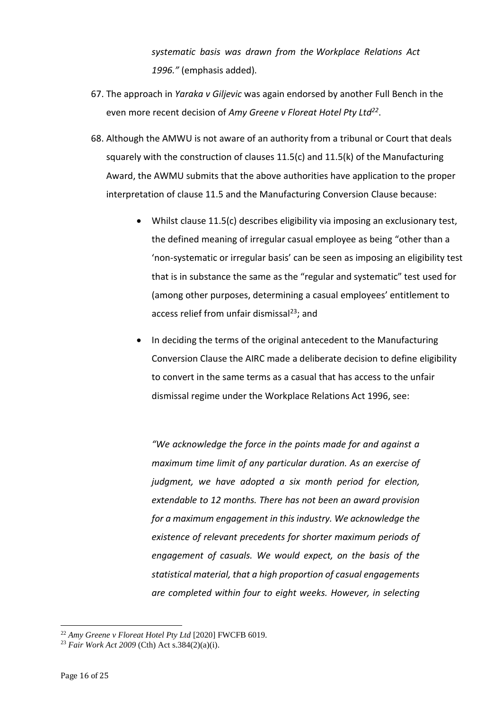*systematic basis was drawn from the Workplace Relations Act 1996."* (emphasis added).

- 67. The approach in *Yaraka v Giljevic* was again endorsed by another Full Bench in the even more recent decision of *Amy Greene v Floreat Hotel Pty Ltd<sup>22</sup>* .
- 68. Although the AMWU is not aware of an authority from a tribunal or Court that deals squarely with the construction of clauses 11.5(c) and 11.5(k) of the Manufacturing Award, the AWMU submits that the above authorities have application to the proper interpretation of clause 11.5 and the Manufacturing Conversion Clause because:
	- Whilst clause 11.5(c) describes eligibility via imposing an exclusionary test, the defined meaning of irregular casual employee as being "other than a 'non-systematic or irregular basis' can be seen as imposing an eligibility test that is in substance the same as the "regular and systematic" test used for (among other purposes, determining a casual employees' entitlement to access relief from unfair dismissal<sup>23</sup>; and
	- In deciding the terms of the original antecedent to the Manufacturing Conversion Clause the AIRC made a deliberate decision to define eligibility to convert in the same terms as a casual that has access to the unfair dismissal regime under the Workplace Relations Act 1996, see:

*"We acknowledge the force in the points made for and against a maximum time limit of any particular duration. As an exercise of judgment, we have adopted a six month period for election, extendable to 12 months. There has not been an award provision for a maximum engagement in this industry. We acknowledge the existence of relevant precedents for shorter maximum periods of engagement of casuals. We would expect, on the basis of the statistical material, that a high proportion of casual engagements are completed within four to eight weeks. However, in selecting* 

<sup>22</sup> *Amy Greene v Floreat Hotel Pty Ltd* [2020] FWCFB 6019.

<sup>23</sup> *Fair Work Act 2009* (Cth) Act s.384(2)(a)(i).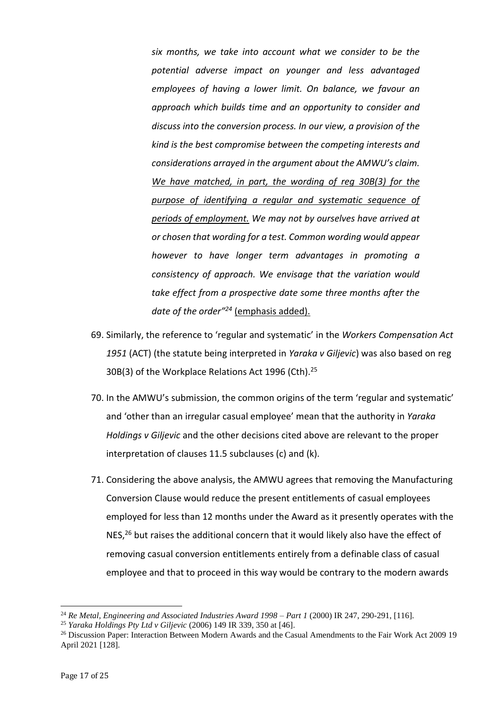*six months, we take into account what we consider to be the potential adverse impact on younger and less advantaged employees of having a lower limit. On balance, we favour an approach which builds time and an opportunity to consider and discuss into the conversion process. In our view, a provision of the kind is the best compromise between the competing interests and considerations arrayed in the argument about the AMWU's claim. We have matched, in part, the wording of reg 30B(3) for the purpose of identifying a regular and systematic sequence of periods of employment. We may not by ourselves have arrived at or chosen that wording for a test. Common wording would appear however to have longer term advantages in promoting a consistency of approach. We envisage that the variation would take effect from a prospective date some three months after the date of the order"<sup>24</sup>* (emphasis added).

- 69. Similarly, the reference to 'regular and systematic' in the *Workers Compensation Act 1951* (ACT) (the statute being interpreted in *Yaraka v Giljevic*) was also based on reg 30B(3) of the Workplace Relations Act 1996 (Cth).<sup>25</sup>
- 70. In the AMWU's submission, the common origins of the term 'regular and systematic' and 'other than an irregular casual employee' mean that the authority in *Yaraka Holdings v Giljevic* and the other decisions cited above are relevant to the proper interpretation of clauses 11.5 subclauses (c) and (k).
- 71. Considering the above analysis, the AMWU agrees that removing the Manufacturing Conversion Clause would reduce the present entitlements of casual employees employed for less than 12 months under the Award as it presently operates with the NES,<sup>26</sup> but raises the additional concern that it would likely also have the effect of removing casual conversion entitlements entirely from a definable class of casual employee and that to proceed in this way would be contrary to the modern awards

<sup>&</sup>lt;sup>24</sup> Re Metal. Engineering and Associated Industries Award 1998 – Part 1 (2000) IR 247, 290-291, [116].

<sup>25</sup> *Yaraka Holdings Pty Ltd v Giljevic* (2006) 149 IR 339, 350 at [46].

<sup>&</sup>lt;sup>26</sup> Discussion Paper: Interaction Between Modern Awards and the Casual Amendments to the Fair Work Act 2009 19 April 2021 [128].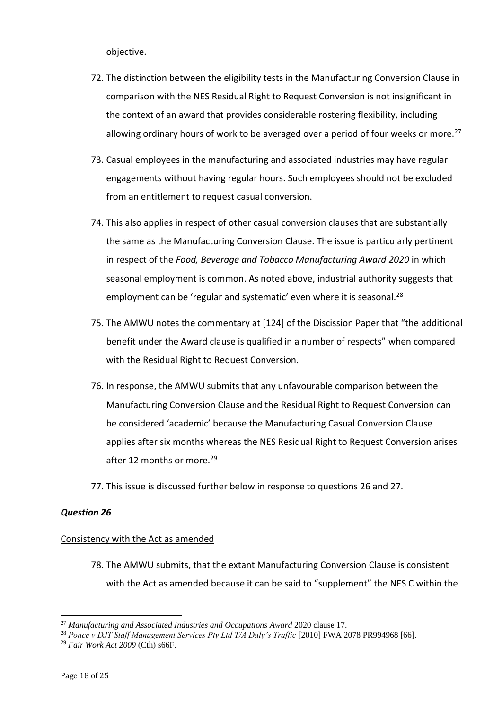objective.

- 72. The distinction between the eligibility tests in the Manufacturing Conversion Clause in comparison with the NES Residual Right to Request Conversion is not insignificant in the context of an award that provides considerable rostering flexibility, including allowing ordinary hours of work to be averaged over a period of four weeks or more.<sup>27</sup>
- 73. Casual employees in the manufacturing and associated industries may have regular engagements without having regular hours. Such employees should not be excluded from an entitlement to request casual conversion.
- 74. This also applies in respect of other casual conversion clauses that are substantially the same as the Manufacturing Conversion Clause. The issue is particularly pertinent in respect of the *Food, Beverage and Tobacco Manufacturing Award 2020* in which seasonal employment is common. As noted above, industrial authority suggests that employment can be 'regular and systematic' even where it is seasonal.<sup>28</sup>
- 75. The AMWU notes the commentary at [124] of the Discission Paper that "the additional benefit under the Award clause is qualified in a number of respects" when compared with the Residual Right to Request Conversion.
- 76. In response, the AMWU submits that any unfavourable comparison between the Manufacturing Conversion Clause and the Residual Right to Request Conversion can be considered 'academic' because the Manufacturing Casual Conversion Clause applies after six months whereas the NES Residual Right to Request Conversion arises after 12 months or more.<sup>29</sup>
- 77. This issue is discussed further below in response to questions 26 and 27.

#### *Question 26*

#### Consistency with the Act as amended

78. The AMWU submits, that the extant Manufacturing Conversion Clause is consistent with the Act as amended because it can be said to "supplement" the NES C within the

<sup>27</sup> *Manufacturing and Associated Industries and Occupations Award* 2020 clause 17.

<sup>&</sup>lt;sup>28</sup> Ponce v DJT Staff Management Services Pty Ltd T/A Daly's Traffic [2010] FWA 2078 PR994968 [66].

<sup>29</sup> *Fair Work Act 2009* (Cth) s66F.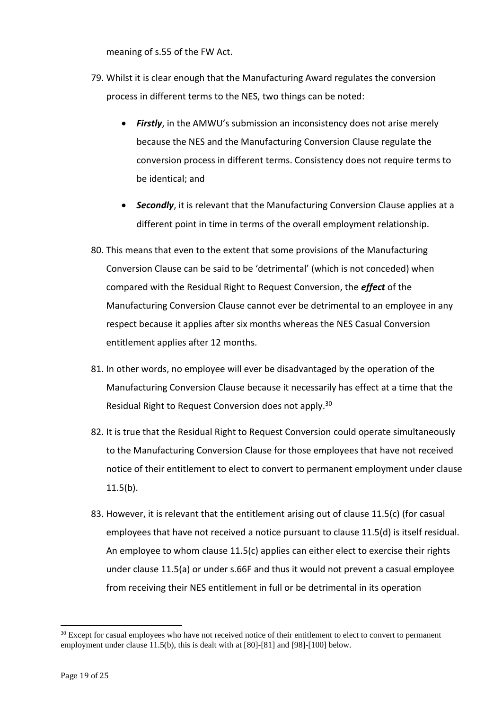meaning of s.55 of the FW Act.

- 79. Whilst it is clear enough that the Manufacturing Award regulates the conversion process in different terms to the NES, two things can be noted:
	- *Firstly*, in the AMWU's submission an inconsistency does not arise merely because the NES and the Manufacturing Conversion Clause regulate the conversion process in different terms. Consistency does not require terms to be identical; and
	- *Secondly*, it is relevant that the Manufacturing Conversion Clause applies at a different point in time in terms of the overall employment relationship.
- 80. This means that even to the extent that some provisions of the Manufacturing Conversion Clause can be said to be 'detrimental' (which is not conceded) when compared with the Residual Right to Request Conversion, the *effect* of the Manufacturing Conversion Clause cannot ever be detrimental to an employee in any respect because it applies after six months whereas the NES Casual Conversion entitlement applies after 12 months.
- 81. In other words, no employee will ever be disadvantaged by the operation of the Manufacturing Conversion Clause because it necessarily has effect at a time that the Residual Right to Request Conversion does not apply. 30
- 82. It is true that the Residual Right to Request Conversion could operate simultaneously to the Manufacturing Conversion Clause for those employees that have not received notice of their entitlement to elect to convert to permanent employment under clause 11.5(b).
- 83. However, it is relevant that the entitlement arising out of clause 11.5(c) (for casual employees that have not received a notice pursuant to clause 11.5(d) is itself residual. An employee to whom clause 11.5(c) applies can either elect to exercise their rights under clause 11.5(a) or under s.66F and thus it would not prevent a casual employee from receiving their NES entitlement in full or be detrimental in its operation

<sup>&</sup>lt;sup>30</sup> Except for casual employees who have not received notice of their entitlement to elect to convert to permanent employment under clause 11.5(b), this is dealt with at [80]-[81] and [98]-[100] below.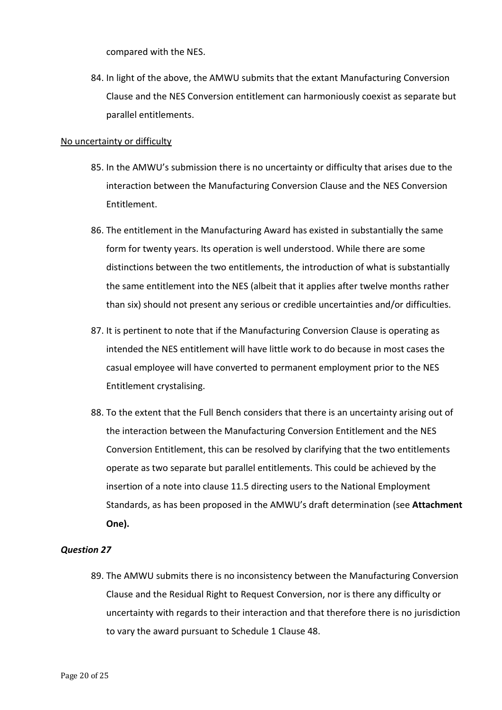compared with the NES.

84. In light of the above, the AMWU submits that the extant Manufacturing Conversion Clause and the NES Conversion entitlement can harmoniously coexist as separate but parallel entitlements.

#### No uncertainty or difficulty

- 85. In the AMWU's submission there is no uncertainty or difficulty that arises due to the interaction between the Manufacturing Conversion Clause and the NES Conversion Entitlement.
- 86. The entitlement in the Manufacturing Award has existed in substantially the same form for twenty years. Its operation is well understood. While there are some distinctions between the two entitlements, the introduction of what is substantially the same entitlement into the NES (albeit that it applies after twelve months rather than six) should not present any serious or credible uncertainties and/or difficulties.
- 87. It is pertinent to note that if the Manufacturing Conversion Clause is operating as intended the NES entitlement will have little work to do because in most cases the casual employee will have converted to permanent employment prior to the NES Entitlement crystalising.
- 88. To the extent that the Full Bench considers that there is an uncertainty arising out of the interaction between the Manufacturing Conversion Entitlement and the NES Conversion Entitlement, this can be resolved by clarifying that the two entitlements operate as two separate but parallel entitlements. This could be achieved by the insertion of a note into clause 11.5 directing users to the National Employment Standards, as has been proposed in the AMWU's draft determination (see **Attachment One).**

#### *Question 27*

89. The AMWU submits there is no inconsistency between the Manufacturing Conversion Clause and the Residual Right to Request Conversion, nor is there any difficulty or uncertainty with regards to their interaction and that therefore there is no jurisdiction to vary the award pursuant to Schedule 1 Clause 48.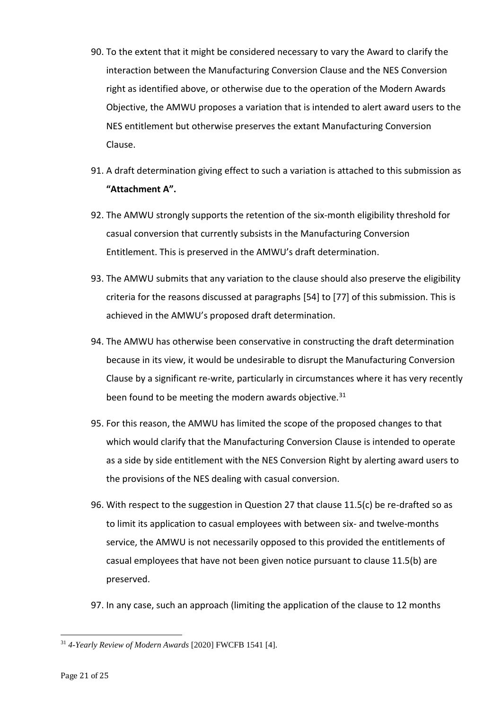- 90. To the extent that it might be considered necessary to vary the Award to clarify the interaction between the Manufacturing Conversion Clause and the NES Conversion right as identified above, or otherwise due to the operation of the Modern Awards Objective, the AMWU proposes a variation that is intended to alert award users to the NES entitlement but otherwise preserves the extant Manufacturing Conversion Clause.
- 91. A draft determination giving effect to such a variation is attached to this submission as **"Attachment A".**
- 92. The AMWU strongly supports the retention of the six-month eligibility threshold for casual conversion that currently subsists in the Manufacturing Conversion Entitlement. This is preserved in the AMWU's draft determination.
- 93. The AMWU submits that any variation to the clause should also preserve the eligibility criteria for the reasons discussed at paragraphs [54] to [77] of this submission. This is achieved in the AMWU's proposed draft determination.
- 94. The AMWU has otherwise been conservative in constructing the draft determination because in its view, it would be undesirable to disrupt the Manufacturing Conversion Clause by a significant re-write, particularly in circumstances where it has very recently been found to be meeting the modern awards objective.<sup>31</sup>
- 95. For this reason, the AMWU has limited the scope of the proposed changes to that which would clarify that the Manufacturing Conversion Clause is intended to operate as a side by side entitlement with the NES Conversion Right by alerting award users to the provisions of the NES dealing with casual conversion.
- 96. With respect to the suggestion in Question 27 that clause 11.5(c) be re-drafted so as to limit its application to casual employees with between six- and twelve-months service, the AMWU is not necessarily opposed to this provided the entitlements of casual employees that have not been given notice pursuant to clause 11.5(b) are preserved.
- 97. In any case, such an approach (limiting the application of the clause to 12 months

<sup>31</sup> *4-Yearly Review of Modern Awards* [2020] FWCFB 1541 [4].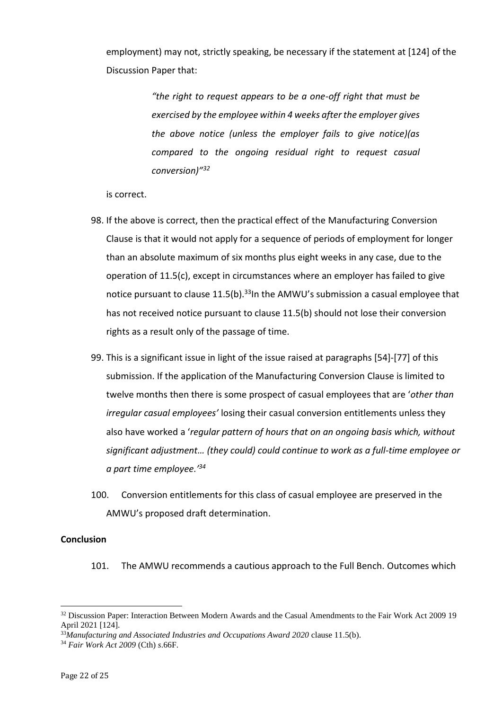employment) may not, strictly speaking, be necessary if the statement at [124] of the Discussion Paper that:

> *"the right to request appears to be a one-off right that must be exercised by the employee within 4 weeks after the employer gives the above notice (unless the employer fails to give notice)(as compared to the ongoing residual right to request casual conversion)" 32*

is correct.

- 98. If the above is correct, then the practical effect of the Manufacturing Conversion Clause is that it would not apply for a sequence of periods of employment for longer than an absolute maximum of six months plus eight weeks in any case, due to the operation of 11.5(c), except in circumstances where an employer has failed to give notice pursuant to clause  $11.5(b)$ . <sup>33</sup>In the AMWU's submission a casual employee that has not received notice pursuant to clause 11.5(b) should not lose their conversion rights as a result only of the passage of time.
- 99. This is a significant issue in light of the issue raised at paragraphs [54]-[77] of this submission. If the application of the Manufacturing Conversion Clause is limited to twelve months then there is some prospect of casual employees that are '*other than irregular casual employees'* losing their casual conversion entitlements unless they also have worked a '*regular pattern of hours that on an ongoing basis which, without significant adjustment… (they could) could continue to work as a full-time employee or a part time employee.' 34*
- 100. Conversion entitlements for this class of casual employee are preserved in the AMWU's proposed draft determination.

#### **Conclusion**

101. The AMWU recommends a cautious approach to the Full Bench. Outcomes which

<sup>&</sup>lt;sup>32</sup> Discussion Paper: Interaction Between Modern Awards and the Casual Amendments to the Fair Work Act 2009 19 April 2021 [124].

<sup>33</sup>*Manufacturing and Associated Industries and Occupations Award 2020* clause 11.5(b).

<sup>34</sup> *Fair Work Act 2009* (Cth) *s*.66F.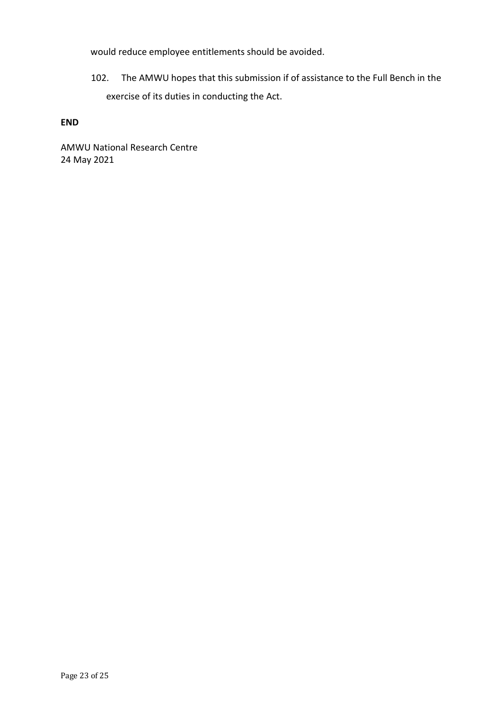would reduce employee entitlements should be avoided.

102. The AMWU hopes that this submission if of assistance to the Full Bench in the exercise of its duties in conducting the Act.

#### **END**

AMWU National Research Centre 24 May 2021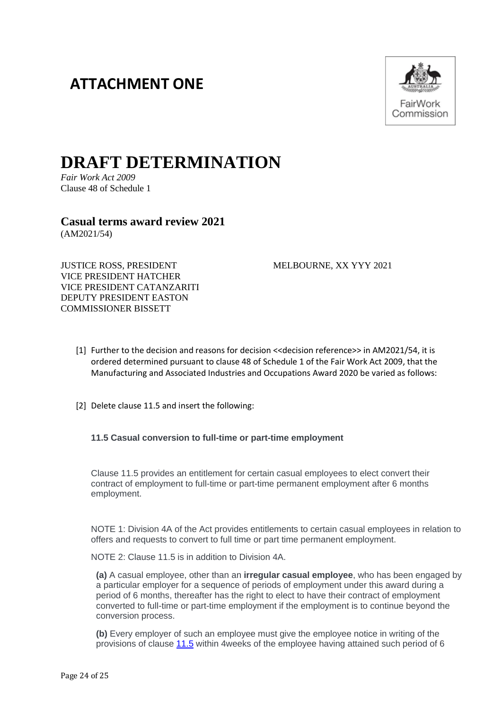# **ATTACHMENT ONE**



# **DRAFT DETERMINATION**

*Fair Work Act 2009* Clause 48 of Schedule 1

**Casual terms award review 2021** (AM2021/54)

JUSTICE ROSS, PRESIDENT MELBOURNE, XX YYY 2021 VICE PRESIDENT HATCHER VICE PRESIDENT CATANZARITI DEPUTY PRESIDENT EASTON COMMISSIONER BISSETT

- [1] Further to the decision and reasons for decision <<decision reference>> in AM2021/54, it is ordered determined pursuant to clause 48 of Schedule 1 of the Fair Work Act 2009, that the Manufacturing and Associated Industries and Occupations Award 2020 be varied as follows:
- [2] Delete clause 11.5 and insert the following:

#### **11.5 Casual conversion to full-time or part-time employment**

Clause 11.5 provides an entitlement for certain casual employees to elect convert their contract of employment to full-time or part-time permanent employment after 6 months employment.

NOTE 1: Division 4A of the Act provides entitlements to certain casual employees in relation to offers and requests to convert to full time or part time permanent employment.

NOTE 2: Clause 11.5 is in addition to Division 4A.

**(a)** A casual employee, other than an **irregular casual employee**, who has been engaged by a particular employer for a sequence of periods of employment under this award during a period of 6 months, thereafter has the right to elect to have their contract of employment converted to full-time or part-time employment if the employment is to continue beyond the conversion process.

**(b)** Every employer of such an employee must give the employee notice in writing of the provisions of clause [11.5](https://www.fwc.gov.au/documents/documents/modern_awards/award/ma000010/ma000010-13.htm#P496_47689) within 4weeks of the employee having attained such period of 6